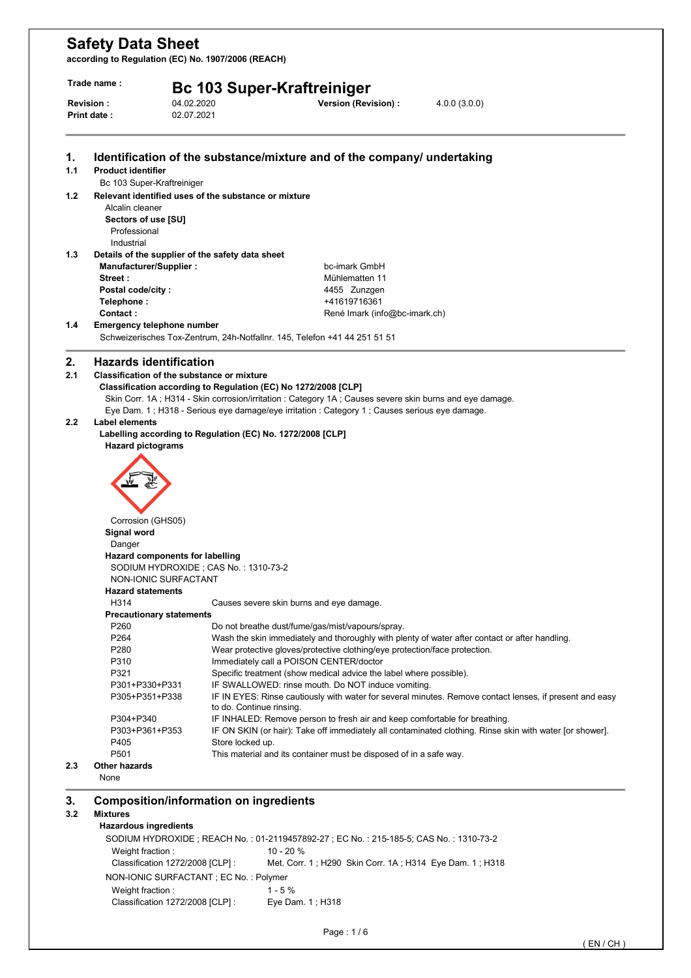**according to Regulation (EC) No. 1907/2006 (REACH)** 

| Trade name :<br><b>Bc 103 Super-Kraftreiniger</b> |                                        |                                                                |                                                                                                        |                                                                                                          |
|---------------------------------------------------|----------------------------------------|----------------------------------------------------------------|--------------------------------------------------------------------------------------------------------|----------------------------------------------------------------------------------------------------------|
|                                                   | <b>Revision:</b><br>Print date:        | 04.02.2020<br>02.07.2021                                       | Version (Revision) :                                                                                   | 4.0.0(3.0.0)                                                                                             |
| 1.                                                |                                        |                                                                | Identification of the substance/mixture and of the company/ undertaking                                |                                                                                                          |
| 1.1                                               | <b>Product identifier</b>              |                                                                |                                                                                                        |                                                                                                          |
|                                                   | Bc 103 Super-Kraftreiniger             |                                                                |                                                                                                        |                                                                                                          |
| 1.2                                               | Alcalin cleaner<br>Sectors of use [SU] | Relevant identified uses of the substance or mixture           |                                                                                                        |                                                                                                          |
|                                                   | Professional                           |                                                                |                                                                                                        |                                                                                                          |
|                                                   | Industrial                             |                                                                |                                                                                                        |                                                                                                          |
| 1.3                                               | Manufacturer/Supplier:                 | Details of the supplier of the safety data sheet               | bc-imark GmbH                                                                                          |                                                                                                          |
|                                                   | Street:                                |                                                                | Mühlematten 11                                                                                         |                                                                                                          |
|                                                   | Postal code/city:                      |                                                                | 4455 Zunzgen                                                                                           |                                                                                                          |
|                                                   | Telephone :                            |                                                                | +41619716361                                                                                           |                                                                                                          |
|                                                   | Contact:                               |                                                                | René Imark (info@bc-imark.ch)                                                                          |                                                                                                          |
| 1.4                                               | <b>Emergency telephone number</b>      |                                                                |                                                                                                        |                                                                                                          |
|                                                   |                                        |                                                                | Schweizerisches Tox-Zentrum, 24h-Notfallnr. 145, Telefon +41 44 251 51 51                              |                                                                                                          |
| 2.                                                | <b>Hazards identification</b>          |                                                                |                                                                                                        |                                                                                                          |
| 2.1                                               |                                        | <b>Classification of the substance or mixture</b>              |                                                                                                        |                                                                                                          |
|                                                   |                                        | Classification according to Regulation (EC) No 1272/2008 [CLP] |                                                                                                        |                                                                                                          |
|                                                   |                                        |                                                                | Skin Corr. 1A; H314 - Skin corrosion/irritation: Category 1A; Causes severe skin burns and eye damage. |                                                                                                          |
|                                                   |                                        |                                                                | Eye Dam. 1; H318 - Serious eye damage/eye irritation : Category 1; Causes serious eye damage.          |                                                                                                          |
| $2.2\phantom{0}$                                  | Label elements                         |                                                                |                                                                                                        |                                                                                                          |
|                                                   |                                        | Labelling according to Regulation (EC) No. 1272/2008 [CLP]     |                                                                                                        |                                                                                                          |
|                                                   | <b>Hazard pictograms</b>               |                                                                |                                                                                                        |                                                                                                          |
|                                                   |                                        |                                                                |                                                                                                        |                                                                                                          |
|                                                   |                                        |                                                                |                                                                                                        |                                                                                                          |
|                                                   |                                        |                                                                |                                                                                                        |                                                                                                          |
|                                                   |                                        |                                                                |                                                                                                        |                                                                                                          |
|                                                   |                                        |                                                                |                                                                                                        |                                                                                                          |
|                                                   | Corrosion (GHS05)                      |                                                                |                                                                                                        |                                                                                                          |
|                                                   | Signal word                            |                                                                |                                                                                                        |                                                                                                          |
|                                                   | Danger                                 |                                                                |                                                                                                        |                                                                                                          |
|                                                   | Hazard components for labelling        |                                                                |                                                                                                        |                                                                                                          |
|                                                   |                                        | SODIUM HYDROXIDE; CAS No.: 1310-73-2                           |                                                                                                        |                                                                                                          |
|                                                   | NON-IONIC SURFACTANT                   |                                                                |                                                                                                        |                                                                                                          |
|                                                   | <b>Hazard statements</b>               |                                                                |                                                                                                        |                                                                                                          |
|                                                   | H314                                   |                                                                | Causes severe skin burns and eye damage.                                                               |                                                                                                          |
|                                                   | <b>Precautionary statements</b>        |                                                                |                                                                                                        |                                                                                                          |
|                                                   | P <sub>260</sub>                       |                                                                | Do not breathe dust/fume/gas/mist/vapours/spray.                                                       | Wash the skin immediately and thoroughly with plenty of water after contact or after handling.           |
|                                                   | P <sub>264</sub><br>P280               |                                                                | Wear protective gloves/protective clothing/eye protection/face protection.                             |                                                                                                          |
|                                                   | P310                                   |                                                                | Immediately call a POISON CENTER/doctor                                                                |                                                                                                          |
|                                                   | P321                                   |                                                                | Specific treatment (show medical advice the label where possible).                                     |                                                                                                          |
|                                                   | P301+P330+P331                         |                                                                | IF SWALLOWED: rinse mouth. Do NOT induce vomiting.                                                     |                                                                                                          |
|                                                   | P305+P351+P338                         |                                                                |                                                                                                        | IF IN EYES: Rinse cautiously with water for several minutes. Remove contact lenses, if present and easy  |
|                                                   | P304+P340                              | to do. Continue rinsing.                                       | IF INHALED: Remove person to fresh air and keep comfortable for breathing.                             |                                                                                                          |
|                                                   | P303+P361+P353                         |                                                                |                                                                                                        | IF ON SKIN (or hair): Take off immediately all contaminated clothing. Rinse skin with water [or shower]. |
|                                                   | P405                                   | Store locked up.                                               |                                                                                                        |                                                                                                          |
|                                                   | P <sub>501</sub>                       |                                                                | This material and its container must be disposed of in a safe way.                                     |                                                                                                          |
| 2.3                                               | Other hazards<br>None                  |                                                                |                                                                                                        |                                                                                                          |
|                                                   |                                        | <b>Composition/information on ingredients</b>                  |                                                                                                        |                                                                                                          |
| 3.                                                |                                        |                                                                |                                                                                                        |                                                                                                          |
| 3.2                                               | <b>Mixtures</b>                        |                                                                |                                                                                                        |                                                                                                          |

SODIUM HYDROXIDE ; REACH No. : 01-2119457892-27 ; EC No. : 215-185-5; CAS No. : 1310-73-2 Weight fraction : 10 - 20 % Classification 1272/2008 [CLP] : Met. Corr. 1 ; H290 Skin Corr. 1A ; H314 Eye Dam. 1 ; H318 NON-IONIC SURFACTANT ; EC No. : Polymer Weight fraction : 1 - 5 % Classification 1272/2008 [CLP] : Eye Dam. 1 ; H318

Page : 1 / 6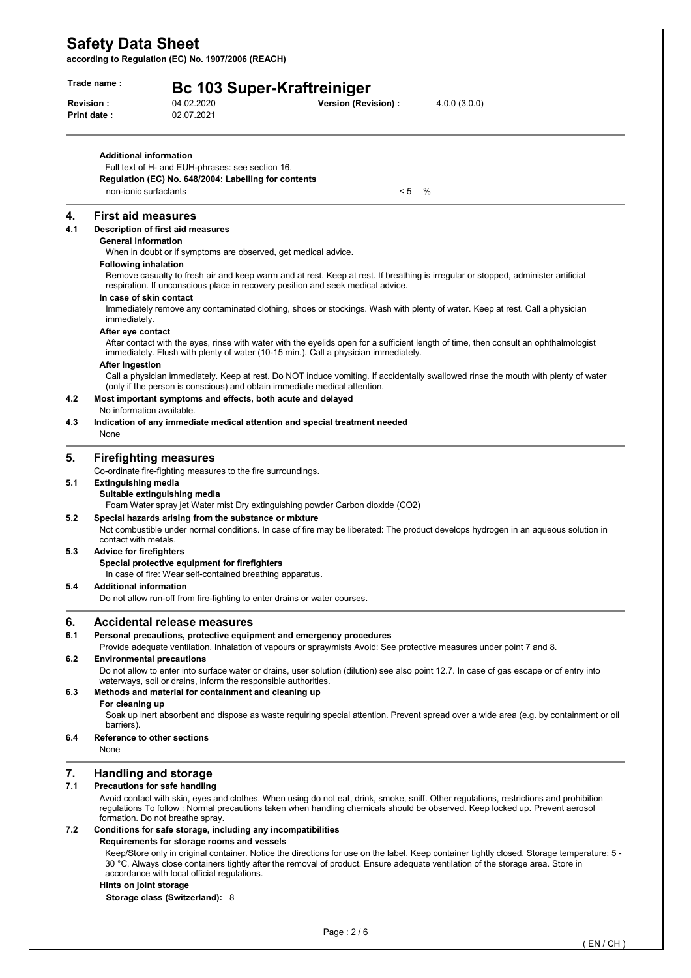**according to Regulation (EC) No. 1907/2006 (REACH)** 

| Trade name : |                                        | <b>Bc 103 Super-Kraftreiniger</b>                                                                                                                                                                               |  |  |  |  |  |
|--------------|----------------------------------------|-----------------------------------------------------------------------------------------------------------------------------------------------------------------------------------------------------------------|--|--|--|--|--|
|              | <b>Revision:</b><br><b>Print date:</b> | 04.02.2020<br>Version (Revision) :<br>4.0.0(3.0.0)<br>02.07.2021                                                                                                                                                |  |  |  |  |  |
|              | <b>Additional information</b>          |                                                                                                                                                                                                                 |  |  |  |  |  |
|              |                                        | Full text of H- and EUH-phrases: see section 16.<br>Regulation (EC) No. 648/2004: Labelling for contents                                                                                                        |  |  |  |  |  |
|              | non-ionic surfactants                  | < 5<br>$\%$                                                                                                                                                                                                     |  |  |  |  |  |
|              |                                        |                                                                                                                                                                                                                 |  |  |  |  |  |
| 4.           | <b>First aid measures</b>              |                                                                                                                                                                                                                 |  |  |  |  |  |
| 4.1          | <b>General information</b>             | Description of first aid measures                                                                                                                                                                               |  |  |  |  |  |
|              |                                        | When in doubt or if symptoms are observed, get medical advice.                                                                                                                                                  |  |  |  |  |  |
|              | <b>Following inhalation</b>            |                                                                                                                                                                                                                 |  |  |  |  |  |
|              |                                        | Remove casualty to fresh air and keep warm and at rest. Keep at rest. If breathing is irregular or stopped, administer artificial                                                                               |  |  |  |  |  |
|              | In case of skin contact                | respiration. If unconscious place in recovery position and seek medical advice.                                                                                                                                 |  |  |  |  |  |
|              |                                        | Immediately remove any contaminated clothing, shoes or stockings. Wash with plenty of water. Keep at rest. Call a physician                                                                                     |  |  |  |  |  |
|              | immediately.                           |                                                                                                                                                                                                                 |  |  |  |  |  |
|              | After eye contact                      | After contact with the eyes, rinse with water with the eyelids open for a sufficient length of time, then consult an ophthalmologist                                                                            |  |  |  |  |  |
|              |                                        | immediately. Flush with plenty of water (10-15 min.). Call a physician immediately.                                                                                                                             |  |  |  |  |  |
|              | After ingestion                        |                                                                                                                                                                                                                 |  |  |  |  |  |
|              |                                        | Call a physician immediately. Keep at rest. Do NOT induce vomiting. If accidentally swallowed rinse the mouth with plenty of water<br>(only if the person is conscious) and obtain immediate medical attention. |  |  |  |  |  |
| 4.2          |                                        | Most important symptoms and effects, both acute and delayed                                                                                                                                                     |  |  |  |  |  |
|              | No information available.              |                                                                                                                                                                                                                 |  |  |  |  |  |
| 4.3          |                                        | Indication of any immediate medical attention and special treatment needed                                                                                                                                      |  |  |  |  |  |
|              | None                                   |                                                                                                                                                                                                                 |  |  |  |  |  |
| 5.           |                                        | <b>Firefighting measures</b>                                                                                                                                                                                    |  |  |  |  |  |
|              |                                        | Co-ordinate fire-fighting measures to the fire surroundings.                                                                                                                                                    |  |  |  |  |  |
| 5.1          | <b>Extinguishing media</b>             |                                                                                                                                                                                                                 |  |  |  |  |  |
|              |                                        | Suitable extinguishing media<br>Foam Water spray jet Water mist Dry extinguishing powder Carbon dioxide (CO2)                                                                                                   |  |  |  |  |  |
| 5.2          |                                        | Special hazards arising from the substance or mixture                                                                                                                                                           |  |  |  |  |  |
|              | contact with metals.                   | Not combustible under normal conditions. In case of fire may be liberated: The product develops hydrogen in an aqueous solution in                                                                              |  |  |  |  |  |
| 5.3          | <b>Advice for firefighters</b>         |                                                                                                                                                                                                                 |  |  |  |  |  |
|              |                                        | Special protective equipment for firefighters<br>In case of fire: Wear self-contained breathing apparatus.                                                                                                      |  |  |  |  |  |
| 5.4          | <b>Additional information</b>          |                                                                                                                                                                                                                 |  |  |  |  |  |
|              |                                        | Do not allow run-off from fire-fighting to enter drains or water courses.                                                                                                                                       |  |  |  |  |  |
| 6.           |                                        | <b>Accidental release measures</b>                                                                                                                                                                              |  |  |  |  |  |
| 6.1          |                                        | Personal precautions, protective equipment and emergency procedures                                                                                                                                             |  |  |  |  |  |
|              |                                        | Provide adequate ventilation. Inhalation of vapours or spray/mists Avoid: See protective measures under point 7 and 8.                                                                                          |  |  |  |  |  |
| 6.2          | <b>Environmental precautions</b>       |                                                                                                                                                                                                                 |  |  |  |  |  |
|              |                                        | Do not allow to enter into surface water or drains, user solution (dilution) see also point 12.7. In case of gas escape or of entry into<br>waterways, soil or drains, inform the responsible authorities.      |  |  |  |  |  |
| 6.3          |                                        | Methods and material for containment and cleaning up                                                                                                                                                            |  |  |  |  |  |
|              | For cleaning up                        |                                                                                                                                                                                                                 |  |  |  |  |  |
|              |                                        | Soak up inert absorbent and dispose as waste requiring special attention. Prevent spread over a wide area (e.g. by containment or oil                                                                           |  |  |  |  |  |
| 6.4          | barriers).                             | Reference to other sections                                                                                                                                                                                     |  |  |  |  |  |
|              | None                                   |                                                                                                                                                                                                                 |  |  |  |  |  |
|              |                                        |                                                                                                                                                                                                                 |  |  |  |  |  |
| 7.<br>7.1    |                                        | <b>Handling and storage</b><br>Precautions for safe handling                                                                                                                                                    |  |  |  |  |  |
|              |                                        | Avoid contact with skin, eyes and clothes. When using do not eat, drink, smoke, sniff. Other regulations, restrictions and prohibition                                                                          |  |  |  |  |  |
|              |                                        | regulations To follow: Normal precautions taken when handling chemicals should be observed. Keep locked up. Prevent aerosol                                                                                     |  |  |  |  |  |
|              |                                        | formation. Do not breathe spray.                                                                                                                                                                                |  |  |  |  |  |
| 7.2          |                                        | Conditions for safe storage, including any incompatibilities<br>Requirements for storage rooms and vessels                                                                                                      |  |  |  |  |  |
|              |                                        | Keep/Store only in original container. Notice the directions for use on the label. Keep container tightly closed. Storage temperature: 5 -                                                                      |  |  |  |  |  |
|              |                                        | 30 °C. Always close containers tightly after the removal of product. Ensure adequate ventilation of the storage area. Store in<br>accordance with local official regulations.                                   |  |  |  |  |  |

#### **Hints on joint storage**

**Storage class (Switzerland):** 8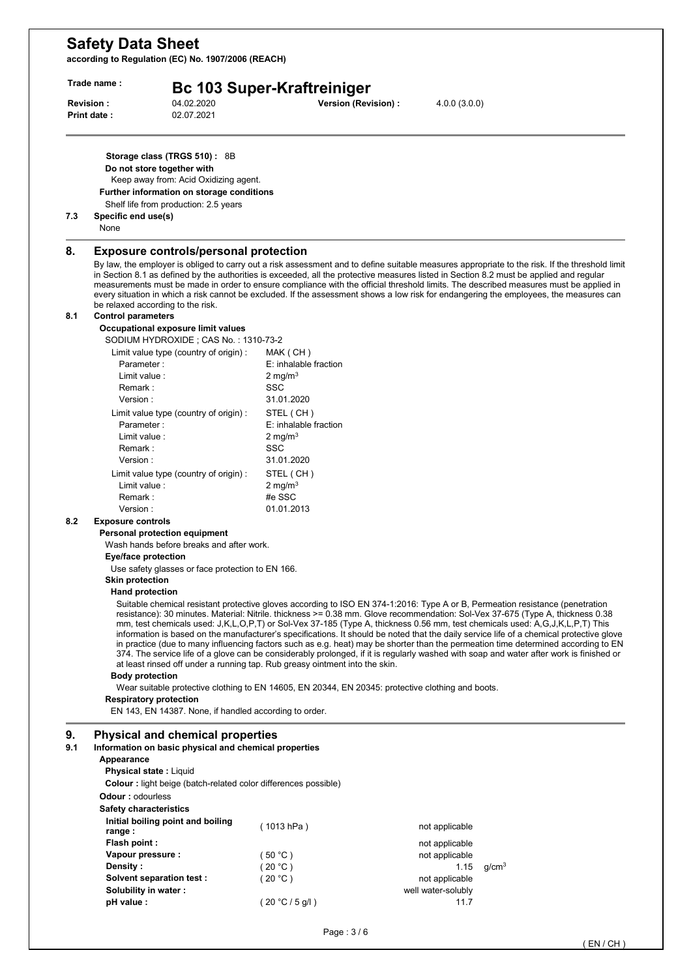**according to Regulation (EC) No. 1907/2006 (REACH)** 

|           | Trade name:                                                                                                                                                                                                              | <b>Bc 103 Super-Kraftreiniger</b>                                           |                                                                                                   |                                      |                                                                                                                                                                                                                                                                                                                                                                                                                                                                                                                                                                                                                                                                                                                                                                                                                              |  |
|-----------|--------------------------------------------------------------------------------------------------------------------------------------------------------------------------------------------------------------------------|-----------------------------------------------------------------------------|---------------------------------------------------------------------------------------------------|--------------------------------------|------------------------------------------------------------------------------------------------------------------------------------------------------------------------------------------------------------------------------------------------------------------------------------------------------------------------------------------------------------------------------------------------------------------------------------------------------------------------------------------------------------------------------------------------------------------------------------------------------------------------------------------------------------------------------------------------------------------------------------------------------------------------------------------------------------------------------|--|
|           | Revision:<br>04.02.2020<br>02.07.2021<br><b>Print date:</b>                                                                                                                                                              |                                                                             | Version (Revision) :                                                                              | 4.0.0(3.0.0)                         |                                                                                                                                                                                                                                                                                                                                                                                                                                                                                                                                                                                                                                                                                                                                                                                                                              |  |
| 7.3       | Storage class (TRGS 510): 8B<br>Do not store together with<br>Keep away from: Acid Oxidizing agent.<br>Further information on storage conditions<br>Shelf life from production: 2.5 years<br>Specific end use(s)<br>None |                                                                             |                                                                                                   |                                      |                                                                                                                                                                                                                                                                                                                                                                                                                                                                                                                                                                                                                                                                                                                                                                                                                              |  |
| 8.        | <b>Exposure controls/personal protection</b><br>be relaxed according to the risk.                                                                                                                                        |                                                                             |                                                                                                   |                                      | By law, the employer is obliged to carry out a risk assessment and to define suitable measures appropriate to the risk. If the threshold limit<br>in Section 8.1 as defined by the authorities is exceeded, all the protective measures listed in Section 8.2 must be applied and regular<br>measurements must be made in order to ensure compliance with the official threshold limits. The described measures must be applied in<br>every situation in which a risk cannot be excluded. If the assessment shows a low risk for endangering the employees, the measures can                                                                                                                                                                                                                                                 |  |
| 8.1       | <b>Control parameters</b>                                                                                                                                                                                                |                                                                             |                                                                                                   |                                      |                                                                                                                                                                                                                                                                                                                                                                                                                                                                                                                                                                                                                                                                                                                                                                                                                              |  |
|           | Occupational exposure limit values                                                                                                                                                                                       |                                                                             |                                                                                                   |                                      |                                                                                                                                                                                                                                                                                                                                                                                                                                                                                                                                                                                                                                                                                                                                                                                                                              |  |
|           | SODIUM HYDROXIDE; CAS No.: 1310-73-2<br>Limit value type (country of origin) :                                                                                                                                           |                                                                             |                                                                                                   |                                      |                                                                                                                                                                                                                                                                                                                                                                                                                                                                                                                                                                                                                                                                                                                                                                                                                              |  |
|           | Parameter:                                                                                                                                                                                                               | MAK (CH)<br>E: inhalable fraction                                           |                                                                                                   |                                      |                                                                                                                                                                                                                                                                                                                                                                                                                                                                                                                                                                                                                                                                                                                                                                                                                              |  |
|           | Limit value :                                                                                                                                                                                                            | 2 mg/m $3$                                                                  |                                                                                                   |                                      |                                                                                                                                                                                                                                                                                                                                                                                                                                                                                                                                                                                                                                                                                                                                                                                                                              |  |
|           | Remark :                                                                                                                                                                                                                 | <b>SSC</b>                                                                  |                                                                                                   |                                      |                                                                                                                                                                                                                                                                                                                                                                                                                                                                                                                                                                                                                                                                                                                                                                                                                              |  |
|           | Version:                                                                                                                                                                                                                 | 31.01.2020                                                                  |                                                                                                   |                                      |                                                                                                                                                                                                                                                                                                                                                                                                                                                                                                                                                                                                                                                                                                                                                                                                                              |  |
|           | Limit value type (country of origin) :                                                                                                                                                                                   | STEL (CH)                                                                   |                                                                                                   |                                      |                                                                                                                                                                                                                                                                                                                                                                                                                                                                                                                                                                                                                                                                                                                                                                                                                              |  |
|           | Parameter:                                                                                                                                                                                                               | E: inhalable fraction                                                       |                                                                                                   |                                      |                                                                                                                                                                                                                                                                                                                                                                                                                                                                                                                                                                                                                                                                                                                                                                                                                              |  |
|           | Limit value:                                                                                                                                                                                                             | 2 mg/m <sup>3</sup>                                                         |                                                                                                   |                                      |                                                                                                                                                                                                                                                                                                                                                                                                                                                                                                                                                                                                                                                                                                                                                                                                                              |  |
|           | Remark :                                                                                                                                                                                                                 | SSC                                                                         |                                                                                                   |                                      |                                                                                                                                                                                                                                                                                                                                                                                                                                                                                                                                                                                                                                                                                                                                                                                                                              |  |
|           | Version:                                                                                                                                                                                                                 | 31.01.2020                                                                  |                                                                                                   |                                      |                                                                                                                                                                                                                                                                                                                                                                                                                                                                                                                                                                                                                                                                                                                                                                                                                              |  |
|           | Limit value type (country of origin) :<br>Limit value :                                                                                                                                                                  | STEL (CH)                                                                   |                                                                                                   |                                      |                                                                                                                                                                                                                                                                                                                                                                                                                                                                                                                                                                                                                                                                                                                                                                                                                              |  |
|           | Remark:                                                                                                                                                                                                                  | 2 mg/m $3$<br>#e SSC                                                        |                                                                                                   |                                      |                                                                                                                                                                                                                                                                                                                                                                                                                                                                                                                                                                                                                                                                                                                                                                                                                              |  |
|           | Version:                                                                                                                                                                                                                 | 01.01.2013                                                                  |                                                                                                   |                                      |                                                                                                                                                                                                                                                                                                                                                                                                                                                                                                                                                                                                                                                                                                                                                                                                                              |  |
| 8.2       | <b>Exposure controls</b><br>Personal protection equipment<br>Wash hands before breaks and after work.<br>Eye/face protection                                                                                             |                                                                             |                                                                                                   |                                      |                                                                                                                                                                                                                                                                                                                                                                                                                                                                                                                                                                                                                                                                                                                                                                                                                              |  |
|           |                                                                                                                                                                                                                          |                                                                             |                                                                                                   |                                      |                                                                                                                                                                                                                                                                                                                                                                                                                                                                                                                                                                                                                                                                                                                                                                                                                              |  |
|           | Use safety glasses or face protection to EN 166.                                                                                                                                                                         |                                                                             |                                                                                                   |                                      |                                                                                                                                                                                                                                                                                                                                                                                                                                                                                                                                                                                                                                                                                                                                                                                                                              |  |
|           | <b>Skin protection</b>                                                                                                                                                                                                   |                                                                             |                                                                                                   |                                      |                                                                                                                                                                                                                                                                                                                                                                                                                                                                                                                                                                                                                                                                                                                                                                                                                              |  |
|           | <b>Hand protection</b>                                                                                                                                                                                                   |                                                                             |                                                                                                   |                                      |                                                                                                                                                                                                                                                                                                                                                                                                                                                                                                                                                                                                                                                                                                                                                                                                                              |  |
|           | <b>Body protection</b>                                                                                                                                                                                                   | at least rinsed off under a running tap. Rub greasy ointment into the skin. |                                                                                                   |                                      | Suitable chemical resistant protective gloves according to ISO EN 374-1:2016: Type A or B, Permeation resistance (penetration<br>resistance): 30 minutes. Material: Nitrile. thickness >= 0.38 mm. Glove recommendation: Sol-Vex 37-675 (Type A, thickness 0.38<br>mm, test chemicals used: J,K,L,O,P,T) or Sol-Vex 37-185 (Type A, thickness 0.56 mm, test chemicals used: A,G,J,K,L,P,T) This<br>information is based on the manufacturer's specifications. It should be noted that the daily service life of a chemical protective glove<br>in practice (due to many influencing factors such as e.g. heat) may be shorter than the permeation time determined according to EN<br>374. The service life of a glove can be considerably prolonged, if it is regularly washed with soap and water after work is finished or |  |
|           |                                                                                                                                                                                                                          |                                                                             | Wear suitable protective clothing to EN 14605, EN 20344, EN 20345: protective clothing and boots. |                                      |                                                                                                                                                                                                                                                                                                                                                                                                                                                                                                                                                                                                                                                                                                                                                                                                                              |  |
|           | <b>Respiratory protection</b>                                                                                                                                                                                            |                                                                             |                                                                                                   |                                      |                                                                                                                                                                                                                                                                                                                                                                                                                                                                                                                                                                                                                                                                                                                                                                                                                              |  |
|           | EN 143, EN 14387. None, if handled according to order.                                                                                                                                                                   |                                                                             |                                                                                                   |                                      |                                                                                                                                                                                                                                                                                                                                                                                                                                                                                                                                                                                                                                                                                                                                                                                                                              |  |
|           | <b>Physical and chemical properties</b><br>Information on basic physical and chemical properties<br>Appearance                                                                                                           |                                                                             |                                                                                                   |                                      |                                                                                                                                                                                                                                                                                                                                                                                                                                                                                                                                                                                                                                                                                                                                                                                                                              |  |
|           | <b>Physical state: Liquid</b><br><b>Colour</b> : light beige (batch-related color differences possible)                                                                                                                  |                                                                             |                                                                                                   |                                      |                                                                                                                                                                                                                                                                                                                                                                                                                                                                                                                                                                                                                                                                                                                                                                                                                              |  |
|           | <b>Odour: odourless</b><br>Safety characteristics                                                                                                                                                                        |                                                                             |                                                                                                   |                                      |                                                                                                                                                                                                                                                                                                                                                                                                                                                                                                                                                                                                                                                                                                                                                                                                                              |  |
|           | Initial boiling point and boiling                                                                                                                                                                                        |                                                                             |                                                                                                   |                                      |                                                                                                                                                                                                                                                                                                                                                                                                                                                                                                                                                                                                                                                                                                                                                                                                                              |  |
|           | range :                                                                                                                                                                                                                  | (1013 hPa)                                                                  |                                                                                                   | not applicable                       |                                                                                                                                                                                                                                                                                                                                                                                                                                                                                                                                                                                                                                                                                                                                                                                                                              |  |
|           | Flash point:                                                                                                                                                                                                             |                                                                             |                                                                                                   | not applicable                       |                                                                                                                                                                                                                                                                                                                                                                                                                                                                                                                                                                                                                                                                                                                                                                                                                              |  |
|           | Vapour pressure :                                                                                                                                                                                                        | (50 °C)                                                                     |                                                                                                   | not applicable                       |                                                                                                                                                                                                                                                                                                                                                                                                                                                                                                                                                                                                                                                                                                                                                                                                                              |  |
|           | Density :                                                                                                                                                                                                                | (20 °C)                                                                     |                                                                                                   | 1.15                                 | g/cm <sup>3</sup>                                                                                                                                                                                                                                                                                                                                                                                                                                                                                                                                                                                                                                                                                                                                                                                                            |  |
| 9.<br>9.1 | Solvent separation test :<br>Solubility in water:                                                                                                                                                                        | (20 °C)                                                                     |                                                                                                   | not applicable<br>well water-solubly |                                                                                                                                                                                                                                                                                                                                                                                                                                                                                                                                                                                                                                                                                                                                                                                                                              |  |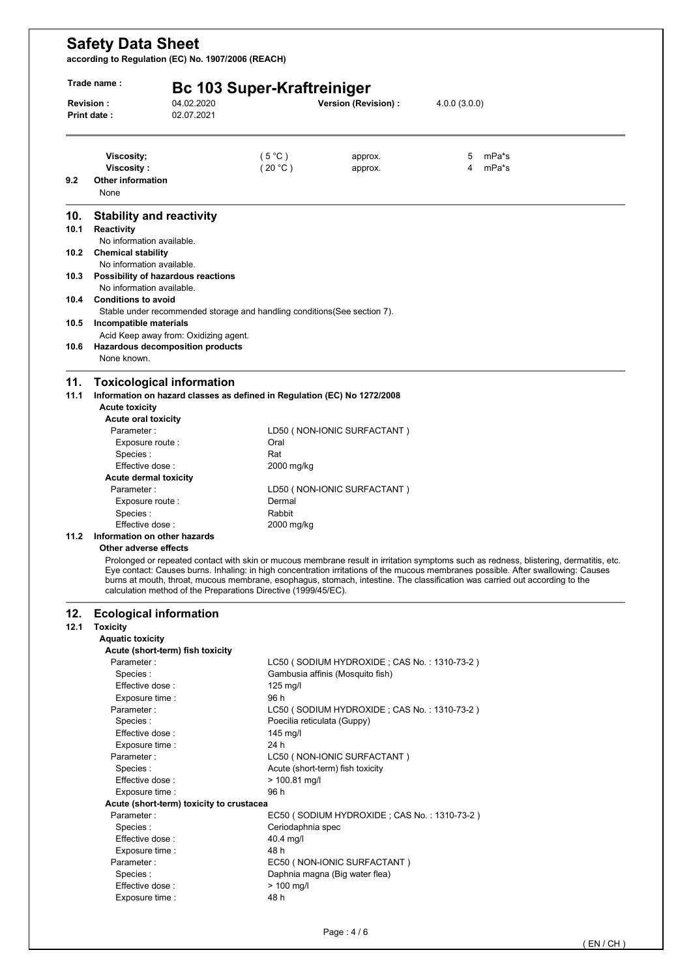**according to Regulation (EC) No. 1907/2006 (REACH)** 

|                     | 04.02.2020<br><b>Revision:</b><br>02.07.2021<br>Print date:                                       | <b>Bc 103 Super-Kraftreiniger</b> | Version (Revision) :                                                       | 4.0.0(3.0.0) |                                                                                                                                        |
|---------------------|---------------------------------------------------------------------------------------------------|-----------------------------------|----------------------------------------------------------------------------|--------------|----------------------------------------------------------------------------------------------------------------------------------------|
|                     |                                                                                                   |                                   |                                                                            |              |                                                                                                                                        |
|                     | Viscosity;                                                                                        | $(5^{\circ}$ C)                   | approx.                                                                    | 5            | mPa*s                                                                                                                                  |
| 9.2                 | <b>Viscosity:</b><br><b>Other information</b>                                                     | (20 °C)                           | approx.                                                                    | 4            | mPa*s                                                                                                                                  |
|                     | None                                                                                              |                                   |                                                                            |              |                                                                                                                                        |
| 10.                 | <b>Stability and reactivity</b>                                                                   |                                   |                                                                            |              |                                                                                                                                        |
| 10.1                | Reactivity<br>No information available.                                                           |                                   |                                                                            |              |                                                                                                                                        |
| 10.2                | <b>Chemical stability</b>                                                                         |                                   |                                                                            |              |                                                                                                                                        |
|                     | No information available.                                                                         |                                   |                                                                            |              |                                                                                                                                        |
| 10.3                | Possibility of hazardous reactions                                                                |                                   |                                                                            |              |                                                                                                                                        |
| 10.4                | No information available.<br><b>Conditions to avoid</b>                                           |                                   |                                                                            |              |                                                                                                                                        |
|                     | Stable under recommended storage and handling conditions (See section 7).                         |                                   |                                                                            |              |                                                                                                                                        |
| 10.5                | Incompatible materials                                                                            |                                   |                                                                            |              |                                                                                                                                        |
|                     | Acid Keep away from: Oxidizing agent.                                                             |                                   |                                                                            |              |                                                                                                                                        |
| 10.6                | Hazardous decomposition products<br>None known.                                                   |                                   |                                                                            |              |                                                                                                                                        |
|                     |                                                                                                   |                                   |                                                                            |              |                                                                                                                                        |
| 11.                 | <b>Toxicological information</b>                                                                  |                                   |                                                                            |              |                                                                                                                                        |
| 11.1                | Information on hazard classes as defined in Regulation (EC) No 1272/2008<br><b>Acute toxicity</b> |                                   |                                                                            |              |                                                                                                                                        |
|                     | <b>Acute oral toxicity</b>                                                                        |                                   |                                                                            |              |                                                                                                                                        |
|                     | Parameter:                                                                                        |                                   | LD50 (NON-IONIC SURFACTANT)                                                |              |                                                                                                                                        |
|                     | Exposure route :                                                                                  | Oral                              |                                                                            |              |                                                                                                                                        |
|                     | Species :                                                                                         | Rat                               |                                                                            |              |                                                                                                                                        |
|                     | Effective dose:<br>Acute dermal toxicity                                                          | 2000 mg/kg                        |                                                                            |              |                                                                                                                                        |
|                     | Parameter:                                                                                        |                                   | LD50 (NON-IONIC SURFACTANT)                                                |              |                                                                                                                                        |
|                     | Exposure route :                                                                                  | Dermal                            |                                                                            |              |                                                                                                                                        |
|                     | Species :                                                                                         | Rabbit                            |                                                                            |              |                                                                                                                                        |
|                     |                                                                                                   | 2000 mg/kg                        |                                                                            |              |                                                                                                                                        |
|                     | Effective dose:                                                                                   |                                   |                                                                            |              |                                                                                                                                        |
|                     | Information on other hazards                                                                      |                                   |                                                                            |              |                                                                                                                                        |
|                     | Other adverse effects                                                                             |                                   |                                                                            |              | Prolonged or repeated contact with skin or mucous membrane result in irritation symptoms such as redness, blistering, dermatitis, etc. |
|                     |                                                                                                   |                                   |                                                                            |              | Eye contact: Causes burns. Inhaling: in high concentration irritations of the mucous membranes possible. After swallowing: Causes      |
|                     | calculation method of the Preparations Directive (1999/45/EC).                                    |                                   |                                                                            |              | burns at mouth, throat, mucous membrane, esophagus, stomach, intestine. The classification was carried out according to the            |
|                     | <b>Ecological information</b>                                                                     |                                   |                                                                            |              |                                                                                                                                        |
|                     | <b>Toxicity</b>                                                                                   |                                   |                                                                            |              |                                                                                                                                        |
|                     | <b>Aquatic toxicity</b><br>Acute (short-term) fish toxicity                                       |                                   |                                                                            |              |                                                                                                                                        |
|                     | Parameter:                                                                                        |                                   | LC50 (SODIUM HYDROXIDE; CAS No.: 1310-73-2)                                |              |                                                                                                                                        |
|                     | Species:                                                                                          |                                   | Gambusia affinis (Mosquito fish)                                           |              |                                                                                                                                        |
|                     | Effective dose:                                                                                   | $125$ mg/l                        |                                                                            |              |                                                                                                                                        |
|                     | Exposure time :                                                                                   | 96 h                              |                                                                            |              |                                                                                                                                        |
|                     | Parameter:<br>Species:                                                                            |                                   | LC50 (SODIUM HYDROXIDE; CAS No.: 1310-73-2)<br>Poecilia reticulata (Guppy) |              |                                                                                                                                        |
|                     | Effective dose:                                                                                   | $145$ mg/l                        |                                                                            |              |                                                                                                                                        |
|                     | Exposure time :                                                                                   | 24 h                              |                                                                            |              |                                                                                                                                        |
|                     | Parameter:                                                                                        |                                   | LC50 (NON-IONIC SURFACTANT)                                                |              |                                                                                                                                        |
|                     | Species:<br>Effective dose:                                                                       | $> 100.81$ mg/l                   | Acute (short-term) fish toxicity                                           |              |                                                                                                                                        |
|                     | Exposure time :                                                                                   | 96 h                              |                                                                            |              |                                                                                                                                        |
|                     | Acute (short-term) toxicity to crustacea                                                          |                                   |                                                                            |              |                                                                                                                                        |
|                     | Parameter:                                                                                        |                                   | EC50 (SODIUM HYDROXIDE; CAS No.: 1310-73-2)                                |              |                                                                                                                                        |
|                     | Species:                                                                                          | Ceriodaphnia spec                 |                                                                            |              |                                                                                                                                        |
|                     | Effective dose:<br>Exposure time :                                                                | 40.4 mg/l<br>48 h                 |                                                                            |              |                                                                                                                                        |
|                     | Parameter:                                                                                        |                                   | EC50 (NON-IONIC SURFACTANT)                                                |              |                                                                                                                                        |
| 11.2<br>12.<br>12.1 | Species :<br>Effective dose:                                                                      | $> 100$ mg/l                      | Daphnia magna (Big water flea)                                             |              |                                                                                                                                        |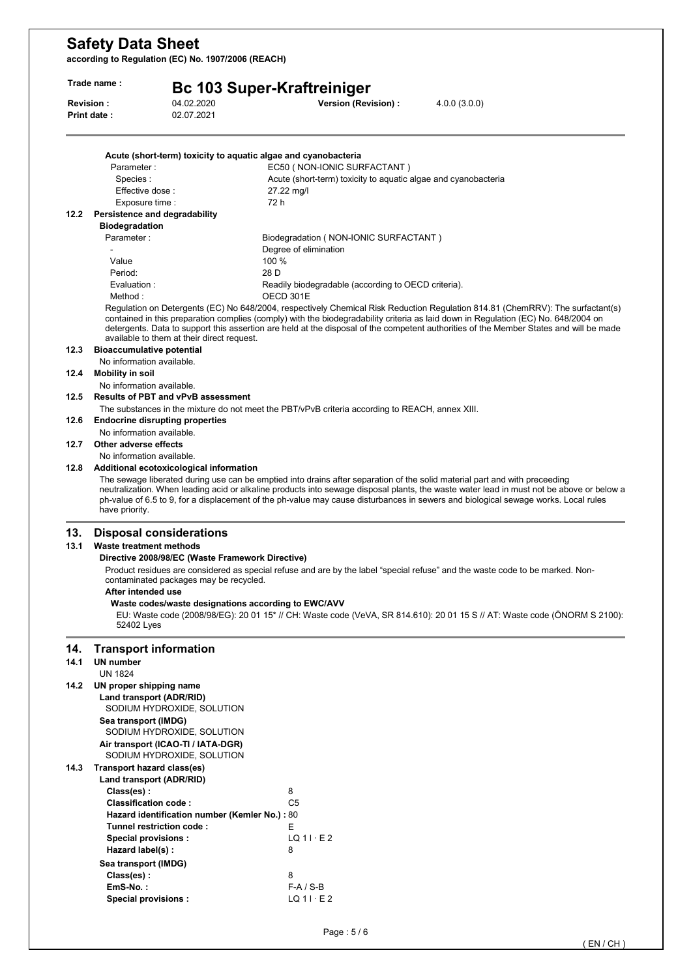**according to Regulation (EC) No. 1907/2006 (REACH)** 

| Trade name : |                                                                                                                                                                                                                                                                                                                                                                                                                                                                           | <b>Bc 103 Super-Kraftreiniger</b>                                                                                            |                                                                                                                                                                                      |                                                                                                                                                                                                                                                                                                                                                                                                                |  |  |
|--------------|---------------------------------------------------------------------------------------------------------------------------------------------------------------------------------------------------------------------------------------------------------------------------------------------------------------------------------------------------------------------------------------------------------------------------------------------------------------------------|------------------------------------------------------------------------------------------------------------------------------|--------------------------------------------------------------------------------------------------------------------------------------------------------------------------------------|----------------------------------------------------------------------------------------------------------------------------------------------------------------------------------------------------------------------------------------------------------------------------------------------------------------------------------------------------------------------------------------------------------------|--|--|
|              | Revision:<br>Print date:                                                                                                                                                                                                                                                                                                                                                                                                                                                  | 04.02.2020<br>02.07.2021                                                                                                     | Version (Revision) :                                                                                                                                                                 | 4.0.0(3.0.0)                                                                                                                                                                                                                                                                                                                                                                                                   |  |  |
|              |                                                                                                                                                                                                                                                                                                                                                                                                                                                                           |                                                                                                                              | Acute (short-term) toxicity to aquatic algae and cyanobacteria                                                                                                                       |                                                                                                                                                                                                                                                                                                                                                                                                                |  |  |
|              | Parameter:                                                                                                                                                                                                                                                                                                                                                                                                                                                                |                                                                                                                              | EC50 (NON-IONIC SURFACTANT)                                                                                                                                                          |                                                                                                                                                                                                                                                                                                                                                                                                                |  |  |
|              | Species:                                                                                                                                                                                                                                                                                                                                                                                                                                                                  |                                                                                                                              | Acute (short-term) toxicity to aquatic algae and cyanobacteria                                                                                                                       |                                                                                                                                                                                                                                                                                                                                                                                                                |  |  |
|              | Effective dose:                                                                                                                                                                                                                                                                                                                                                                                                                                                           |                                                                                                                              | 27.22 mg/l                                                                                                                                                                           |                                                                                                                                                                                                                                                                                                                                                                                                                |  |  |
|              | Exposure time :                                                                                                                                                                                                                                                                                                                                                                                                                                                           |                                                                                                                              | 72 h                                                                                                                                                                                 |                                                                                                                                                                                                                                                                                                                                                                                                                |  |  |
| 12.2         | Persistence and degradability                                                                                                                                                                                                                                                                                                                                                                                                                                             |                                                                                                                              |                                                                                                                                                                                      |                                                                                                                                                                                                                                                                                                                                                                                                                |  |  |
|              | <b>Biodegradation</b>                                                                                                                                                                                                                                                                                                                                                                                                                                                     |                                                                                                                              |                                                                                                                                                                                      |                                                                                                                                                                                                                                                                                                                                                                                                                |  |  |
|              | Parameter:                                                                                                                                                                                                                                                                                                                                                                                                                                                                |                                                                                                                              | Biodegradation (NON-IONIC SURFACTANT)                                                                                                                                                |                                                                                                                                                                                                                                                                                                                                                                                                                |  |  |
|              |                                                                                                                                                                                                                                                                                                                                                                                                                                                                           |                                                                                                                              | Degree of elimination                                                                                                                                                                |                                                                                                                                                                                                                                                                                                                                                                                                                |  |  |
|              | Value                                                                                                                                                                                                                                                                                                                                                                                                                                                                     |                                                                                                                              | 100 %                                                                                                                                                                                |                                                                                                                                                                                                                                                                                                                                                                                                                |  |  |
|              | Period:                                                                                                                                                                                                                                                                                                                                                                                                                                                                   |                                                                                                                              | 28 D                                                                                                                                                                                 |                                                                                                                                                                                                                                                                                                                                                                                                                |  |  |
|              | Evaluation :                                                                                                                                                                                                                                                                                                                                                                                                                                                              |                                                                                                                              | Readily biodegradable (according to OECD criteria).                                                                                                                                  |                                                                                                                                                                                                                                                                                                                                                                                                                |  |  |
|              | Method:                                                                                                                                                                                                                                                                                                                                                                                                                                                                   | available to them at their direct request.                                                                                   | OECD 301E                                                                                                                                                                            | Regulation on Detergents (EC) No 648/2004, respectively Chemical Risk Reduction Regulation 814.81 (ChemRRV): The surfactant(s)<br>contained in this preparation complies (comply) with the biodegradability criteria as laid down in Regulation (EC) No. 648/2004 on<br>detergents. Data to support this assertion are held at the disposal of the competent authorities of the Member States and will be made |  |  |
| 12.3         | <b>Bioaccumulative potential</b><br>No information available.                                                                                                                                                                                                                                                                                                                                                                                                             |                                                                                                                              |                                                                                                                                                                                      |                                                                                                                                                                                                                                                                                                                                                                                                                |  |  |
| 12.4         | Mobility in soil                                                                                                                                                                                                                                                                                                                                                                                                                                                          |                                                                                                                              |                                                                                                                                                                                      |                                                                                                                                                                                                                                                                                                                                                                                                                |  |  |
|              | No information available.                                                                                                                                                                                                                                                                                                                                                                                                                                                 |                                                                                                                              |                                                                                                                                                                                      |                                                                                                                                                                                                                                                                                                                                                                                                                |  |  |
| 12.5         |                                                                                                                                                                                                                                                                                                                                                                                                                                                                           | <b>Results of PBT and vPvB assessment</b>                                                                                    |                                                                                                                                                                                      |                                                                                                                                                                                                                                                                                                                                                                                                                |  |  |
|              |                                                                                                                                                                                                                                                                                                                                                                                                                                                                           |                                                                                                                              | The substances in the mixture do not meet the PBT/vPvB criteria according to REACH, annex XIII.                                                                                      |                                                                                                                                                                                                                                                                                                                                                                                                                |  |  |
| 12.6         |                                                                                                                                                                                                                                                                                                                                                                                                                                                                           | <b>Endocrine disrupting properties</b>                                                                                       |                                                                                                                                                                                      |                                                                                                                                                                                                                                                                                                                                                                                                                |  |  |
|              | No information available.                                                                                                                                                                                                                                                                                                                                                                                                                                                 |                                                                                                                              |                                                                                                                                                                                      |                                                                                                                                                                                                                                                                                                                                                                                                                |  |  |
| 12.7         | Other adverse effects                                                                                                                                                                                                                                                                                                                                                                                                                                                     |                                                                                                                              |                                                                                                                                                                                      |                                                                                                                                                                                                                                                                                                                                                                                                                |  |  |
| 12.8         | No information available.                                                                                                                                                                                                                                                                                                                                                                                                                                                 |                                                                                                                              |                                                                                                                                                                                      |                                                                                                                                                                                                                                                                                                                                                                                                                |  |  |
|              | Additional ecotoxicological information<br>The sewage liberated during use can be emptied into drains after separation of the solid material part and with preceeding<br>neutralization. When leading acid or alkaline products into sewage disposal plants, the waste water lead in must not be above or below a<br>ph-value of 6.5 to 9, for a displacement of the ph-value may cause disturbances in sewers and biological sewage works. Local rules<br>have priority. |                                                                                                                              |                                                                                                                                                                                      |                                                                                                                                                                                                                                                                                                                                                                                                                |  |  |
| 13.<br>13.1  | <b>Waste treatment methods</b><br>After intended use<br>52402 Lyes                                                                                                                                                                                                                                                                                                                                                                                                        | <b>Disposal considerations</b><br>Directive 2008/98/EC (Waste Framework Directive)<br>contaminated packages may be recycled. | Product residues are considered as special refuse and are by the label "special refuse" and the waste code to be marked. Non-<br>Waste codes/waste designations according to EWC/AVV | EU: Waste code (2008/98/EG): 20 01 15 <sup>*</sup> // CH: Waste code (VeVA, SR 814.610): 20 01 15 S // AT: Waste code (ÖNORM S 2100):                                                                                                                                                                                                                                                                          |  |  |
| 14.<br>14.1  | <b>Transport information</b><br><b>UN number</b>                                                                                                                                                                                                                                                                                                                                                                                                                          |                                                                                                                              |                                                                                                                                                                                      |                                                                                                                                                                                                                                                                                                                                                                                                                |  |  |
|              | <b>UN 1824</b>                                                                                                                                                                                                                                                                                                                                                                                                                                                            |                                                                                                                              |                                                                                                                                                                                      |                                                                                                                                                                                                                                                                                                                                                                                                                |  |  |
| 14.2         | UN proper shipping name<br>Land transport (ADR/RID)                                                                                                                                                                                                                                                                                                                                                                                                                       | SODIUM HYDROXIDE, SOLUTION                                                                                                   |                                                                                                                                                                                      |                                                                                                                                                                                                                                                                                                                                                                                                                |  |  |
|              | Sea transport (IMDG)                                                                                                                                                                                                                                                                                                                                                                                                                                                      | SODIUM HYDROXIDE, SOLUTION                                                                                                   |                                                                                                                                                                                      |                                                                                                                                                                                                                                                                                                                                                                                                                |  |  |
|              |                                                                                                                                                                                                                                                                                                                                                                                                                                                                           | Air transport (ICAO-TI / IATA-DGR)<br>SODIUM HYDROXIDE, SOLUTION                                                             |                                                                                                                                                                                      |                                                                                                                                                                                                                                                                                                                                                                                                                |  |  |
| 14.3         | Transport hazard class(es)                                                                                                                                                                                                                                                                                                                                                                                                                                                |                                                                                                                              |                                                                                                                                                                                      |                                                                                                                                                                                                                                                                                                                                                                                                                |  |  |
|              | Land transport (ADR/RID)                                                                                                                                                                                                                                                                                                                                                                                                                                                  |                                                                                                                              |                                                                                                                                                                                      |                                                                                                                                                                                                                                                                                                                                                                                                                |  |  |
|              | Class(es):                                                                                                                                                                                                                                                                                                                                                                                                                                                                |                                                                                                                              | 8                                                                                                                                                                                    |                                                                                                                                                                                                                                                                                                                                                                                                                |  |  |
|              | <b>Classification code:</b>                                                                                                                                                                                                                                                                                                                                                                                                                                               |                                                                                                                              | C <sub>5</sub>                                                                                                                                                                       |                                                                                                                                                                                                                                                                                                                                                                                                                |  |  |
|              |                                                                                                                                                                                                                                                                                                                                                                                                                                                                           | Hazard identification number (Kemler No.) : 80                                                                               |                                                                                                                                                                                      |                                                                                                                                                                                                                                                                                                                                                                                                                |  |  |
|              |                                                                                                                                                                                                                                                                                                                                                                                                                                                                           | Tunnel restriction code:                                                                                                     | E.                                                                                                                                                                                   |                                                                                                                                                                                                                                                                                                                                                                                                                |  |  |
|              | Special provisions :<br>Hazard label(s):                                                                                                                                                                                                                                                                                                                                                                                                                                  |                                                                                                                              | $LQ$ 1 $\cdot$ E 2<br>8                                                                                                                                                              |                                                                                                                                                                                                                                                                                                                                                                                                                |  |  |
|              |                                                                                                                                                                                                                                                                                                                                                                                                                                                                           |                                                                                                                              |                                                                                                                                                                                      |                                                                                                                                                                                                                                                                                                                                                                                                                |  |  |
|              | Sea transport (IMDG)<br>Class(es):                                                                                                                                                                                                                                                                                                                                                                                                                                        |                                                                                                                              | 8                                                                                                                                                                                    |                                                                                                                                                                                                                                                                                                                                                                                                                |  |  |
|              | EmS-No.:                                                                                                                                                                                                                                                                                                                                                                                                                                                                  |                                                                                                                              | $F-A/S-B$                                                                                                                                                                            |                                                                                                                                                                                                                                                                                                                                                                                                                |  |  |
|              | Special provisions :                                                                                                                                                                                                                                                                                                                                                                                                                                                      |                                                                                                                              | $LQ11 \cdot E2$                                                                                                                                                                      |                                                                                                                                                                                                                                                                                                                                                                                                                |  |  |
|              |                                                                                                                                                                                                                                                                                                                                                                                                                                                                           |                                                                                                                              |                                                                                                                                                                                      |                                                                                                                                                                                                                                                                                                                                                                                                                |  |  |